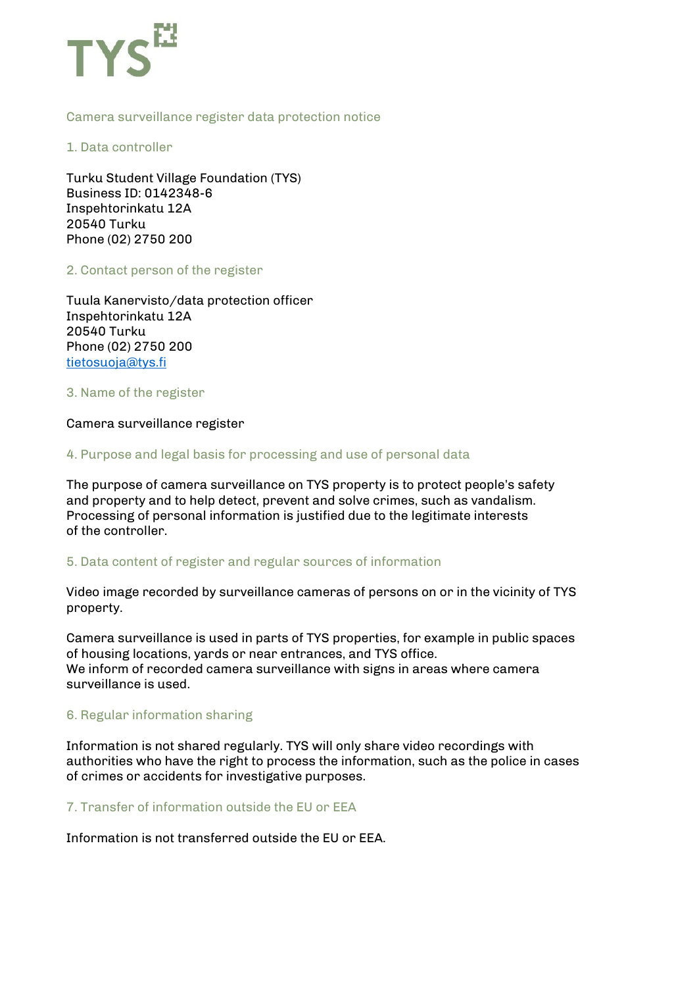

### Camera surveillance register data protection notice

1. Data controller

Turku Student Village Foundation (TYS) Business ID: 0142348-6 Inspehtorinkatu 12A 20540 Turku Phone (02) 2750 200

2. Contact person of the register

Tuula Kanervisto/data protection officer Inspehtorinkatu 12A 20540 Turku Phone (02) 2750 200 tietosuoja@tys.fi

3. Name of the register

Camera surveillance register

4. Purpose and legal basis for processing and use of personal data

The purpose of camera surveillance on TYS property is to protect people's safety and property and to help detect, prevent and solve crimes, such as vandalism. Processing of personal information is justified due to the legitimate interests of the controller.

5. Data content of register and regular sources of information

Video image recorded by surveillance cameras of persons on or in the vicinity of TYS property.

Camera surveillance is used in parts of TYS properties, for example in public spaces of housing locations, yards or near entrances, and TYS office. We inform of recorded camera surveillance with signs in areas where camera surveillance is used.

### 6. Regular information sharing

Information is not shared regularly. TYS will only share video recordings with authorities who have the right to process the information, such as the police in cases of crimes or accidents for investigative purposes.

7. Transfer of information outside the EU or EEA

Information is not transferred outside the EU or EEA.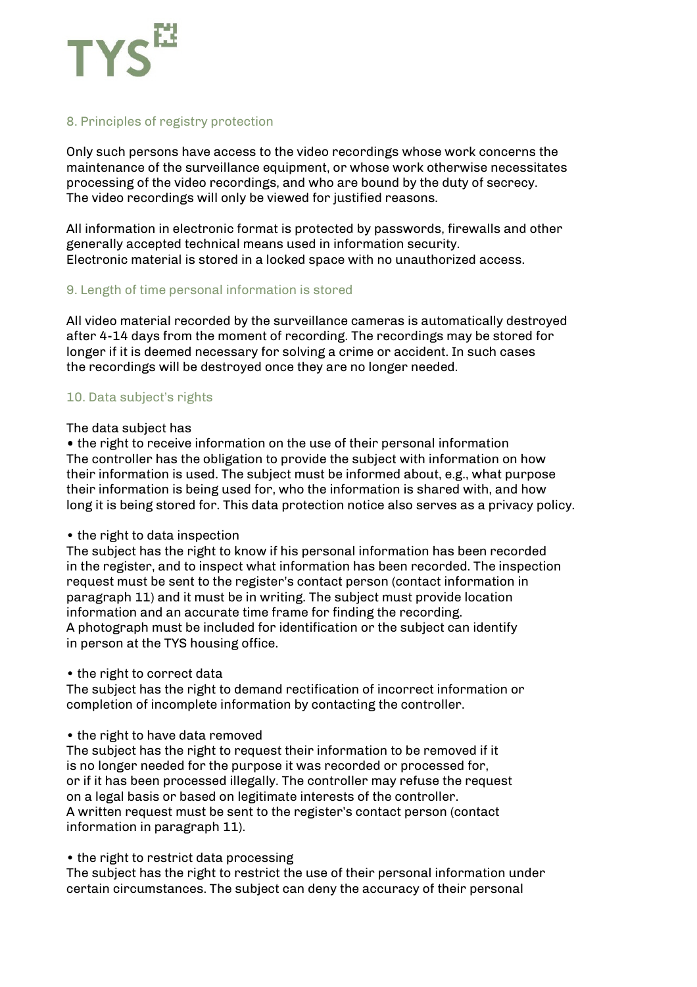# 8. Principles of registry protection

Only such persons have access to the video recordings whose work concerns the maintenance of the surveillance equipment, or whose work otherwise necessitates processing of the video recordings, and who are bound by the duty of secrecy. The video recordings will only be viewed for justified reasons.

All information in electronic format is protected by passwords, firewalls and other generally accepted technical means used in information security. Electronic material is stored in a locked space with no unauthorized access.

### 9. Length of time personal information is stored

All video material recorded by the surveillance cameras is automatically destroyed after 4-14 days from the moment of recording. The recordings may be stored for longer if it is deemed necessary for solving a crime or accident. In such cases the recordings will be destroyed once they are no longer needed.

## 10. Data subject's rights

#### The data subject has

• the right to receive information on the use of their personal information The controller has the obligation to provide the subject with information on how their information is used. The subject must be informed about, e.g., what purpose their information is being used for, who the information is shared with, and how long it is being stored for. This data protection notice also serves as a privacy policy.

### • the right to data inspection

The subject has the right to know if his personal information has been recorded in the register, and to inspect what information has been recorded. The inspection request must be sent to the register's contact person (contact information in paragraph 11) and it must be in writing. The subject must provide location information and an accurate time frame for finding the recording. A photograph must be included for identification or the subject can identify in person at the TYS housing office.

#### • the right to correct data

The subject has the right to demand rectification of incorrect information or completion of incomplete information by contacting the controller.

#### • the right to have data removed

The subject has the right to request their information to be removed if it is no longer needed for the purpose it was recorded or processed for, or if it has been processed illegally. The controller may refuse the request on a legal basis or based on legitimate interests of the controller. A written request must be sent to the register's contact person (contact information in paragraph 11).

### • the right to restrict data processing

The subject has the right to restrict the use of their personal information under certain circumstances. The subject can deny the accuracy of their personal